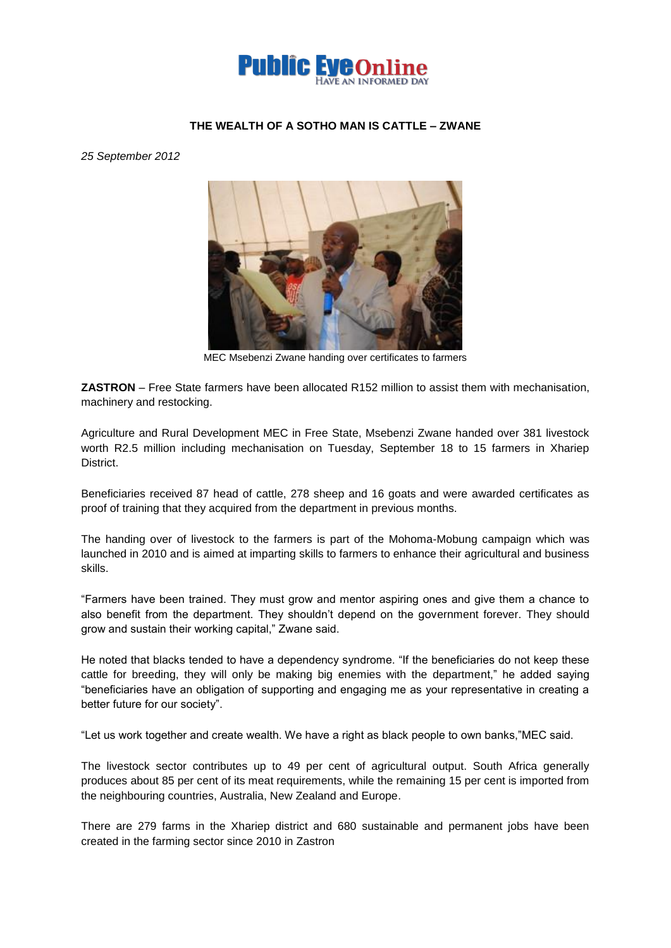

## **THE WEALTH OF A SOTHO MAN IS CATTLE – ZWANE**

*25 September 2012*



MEC Msebenzi Zwane handing over certificates to farmers

**ZASTRON** – Free State farmers have been allocated R152 million to assist them with mechanisation, machinery and restocking.

Agriculture and Rural Development MEC in Free State, Msebenzi Zwane handed over 381 livestock worth R2.5 million including mechanisation on Tuesday, September 18 to 15 farmers in Xhariep District.

Beneficiaries received 87 head of cattle, 278 sheep and 16 goats and were awarded certificates as proof of training that they acquired from the department in previous months.

The handing over of livestock to the farmers is part of the Mohoma-Mobung campaign which was launched in 2010 and is aimed at imparting skills to farmers to enhance their agricultural and business skills.

"Farmers have been trained. They must grow and mentor aspiring ones and give them a chance to also benefit from the department. They shouldn't depend on the government forever. They should grow and sustain their working capital," Zwane said.

He noted that blacks tended to have a dependency syndrome. "If the beneficiaries do not keep these cattle for breeding, they will only be making big enemies with the department," he added saying "beneficiaries have an obligation of supporting and engaging me as your representative in creating a better future for our society".

"Let us work together and create wealth. We have a right as black people to own banks,"MEC said.

The livestock sector contributes up to 49 per cent of agricultural output. South Africa generally produces about 85 per cent of its meat requirements, while the remaining 15 per cent is imported from the neighbouring countries, Australia, New Zealand and Europe.

There are 279 farms in the Xhariep district and 680 sustainable and permanent jobs have been created in the farming sector since 2010 in Zastron